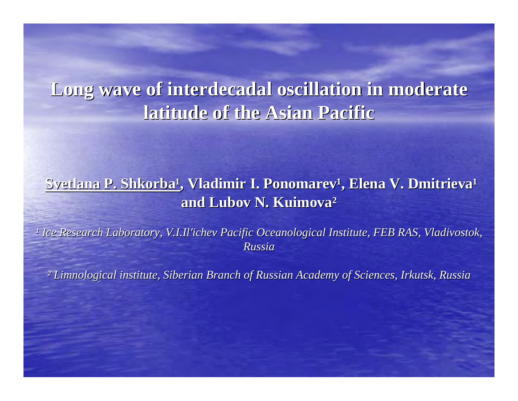# Long wave of interdecadal oscillation in moderate **latitude of the Asian Pacific latitude of the Asian Pacific**

#### $\emph{Svetlana P. Shkorba}$ ', Vladimir I. Ponomarev', Elena V. Dmitrieva' **and Lubov N. Kuimova and Lubov N. Kuimova²**

<sup>1</sup> Ice Research Laboratory, V.I.Il'ichev Pacific Oceanological Institute, FEB RAS, Vladivostok, *Russia*

*² Limnological institute, Siberian Branch of Russian Academy of S Limnological institute, Siberian Branch of Russian Academy of Sciences, Irkutsk, Russia ciences, Irkutsk, Russia*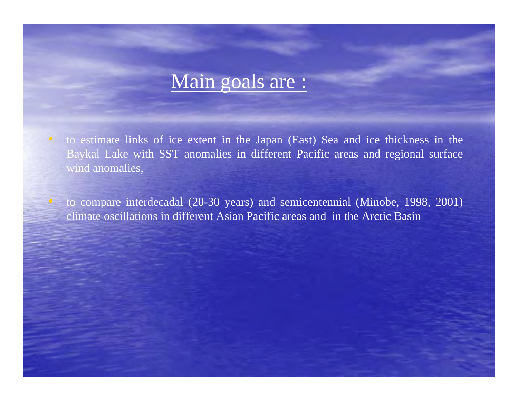## Main goals are :

• to estimate links of ice extent in the Japan (East) Sea and ice thickness in the Baykal Lake with SST anomalies in different Pacific areas and regional surface wind anomalies,

 to compare interdecadal (20-30 years) and semicentennial (Minobe, 1998, 2001) climate oscillations in different Asian Pacific areas and in the Arctic Basin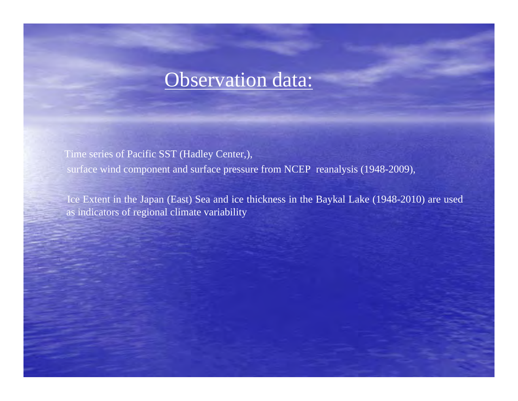### Observation data:

Time series of Pacific SST (Hadley Center,), surface wind component and surface pressure from NCEP reanalysis (1948-2009),

Ice Extent in the Japan (East) Sea and ice thickness in the Baykal Lake (1948-2010) are used as indicators of regional climate variability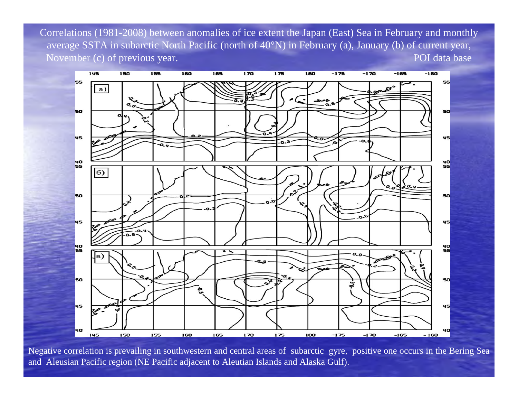Correlations (1981-2008) between anomalies of ice extent the Japan (East) Sea in February and monthly average SSTA in subarctic North Pacific (north of 40°N) in February (a), January (b) of current year, November (c) of previous year. The same state of the state of the state of the POI data base



Negative correlation is prevailing in southwestern and central areas of subarctic gyre, positive one occurs in the Bering Se a and Aleusian Pacific region (NE Pacific adjacent to Aleutian Islands and Alaska Gulf).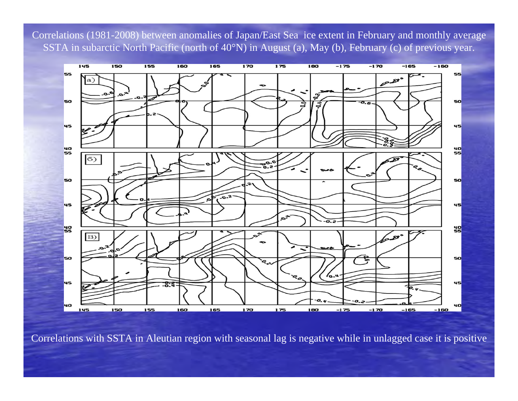Correlations (1981-2008) between anomalies of Japan/East Sea ice extent in February and monthly average SSTA in subarctic North Pacific (north of 40°N) in August (a), May (b), February (c) of previous year.



Correlations with SSTA in Aleutian region with seasonal lag is negative while in unlagged case it is positive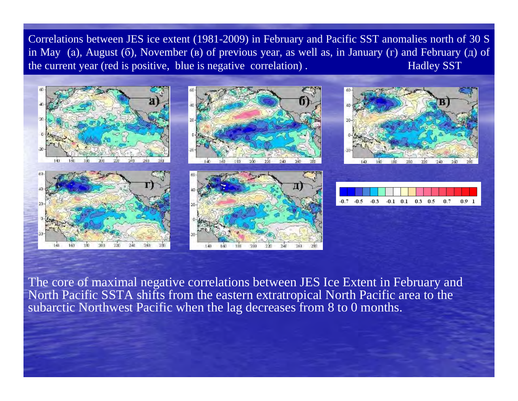Correlations between JES ice extent (1981-2009) in February and Pacific SST anomalies north of 30 S in May (а), August ( б), November ( <sup>в</sup>) of previous year, as well as, in January ( <sup>г</sup>) and February ( <sup>д</sup>) of the current year (red is positive, blue is negative correlation). Hadley SST



The core of maximal negative correlations between JES Ice Extent in February and North Pacific SSTA shifts from the eastern extratropical North Pacific area to the subarctic Northwest Pacific when the lag decreases from 8 to 0 months.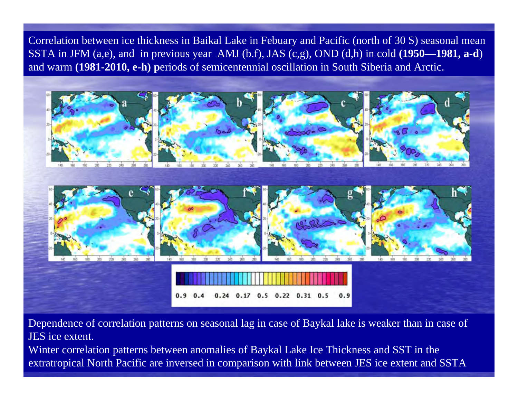Correlation between ice thickness in Baikal Lake in Febuary and Pacific (north of 30 S) seasonal mean SSTA in JFM (a,e), and in previous year AMJ (b.f), JAS (c,g), OND (d,h) in cold **(1950—1981, a-d**) and warm **(1981-2010, e-h) p**eriods of semicentennial oscillation in South Siberia and Arctic.



Dependence of correlation patterns on seasonal lag in case of Baykal lake is weaker than in case of JES ice extent.

Winter correlation patterns between anomalies of Baykal Lake Ice Thickness and SST in the extratropical North Pacific are inversed in comparison with link between JES ice extent and SSTA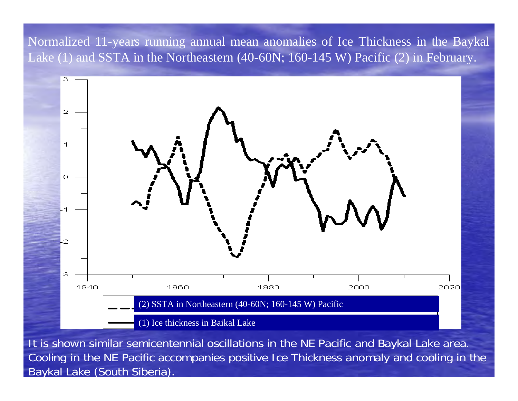Normalized 11-years running annual mean anomalies of Ice Thickness in the Baykal Lake (1) and SSTA in the Northeastern (40-60N; 160-145 W) Pacific (2) in February.



It is shown similar semicentennial oscillations in the NE Pacific and Baykal Lake area. Cooling in the NE Pacific accompanies positive Ice Thickness anomaly and cooling in the Baykal Lake (South Siberia).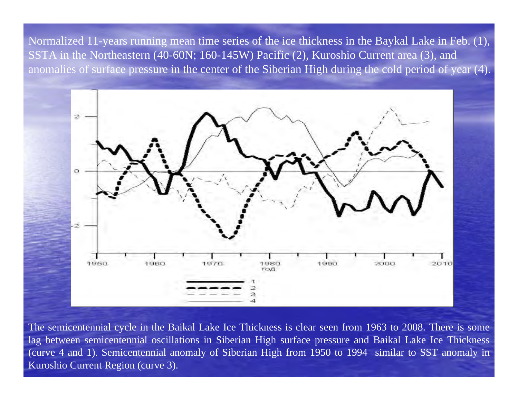Normalized 11-years running mean time series of the ice thickness in the Baykal Lake in Feb. (1), SSTA in the Northeastern (40-60N; 160-145W) Pacific (2), Kuroshio Current area (3), and anomalies of surface pressure in the center of the Siberian High during the cold period of year (4).



The semicentennial cycle in the Baikal Lake Ice Thickness is clear seen from 1963 to 2008. There is some lag between semicentennial oscillations in Siberian High surface pressure and Baikal Lake Ice Thickness (curve 4 and 1). Semicentennial anomaly of Siberian High from 1950 to 1994 similar to SST anomaly in Kuroshio Current Region (curve 3).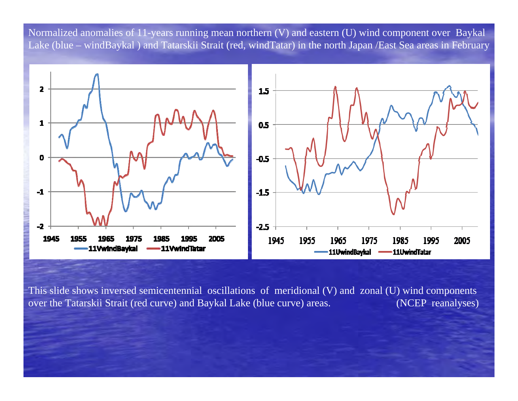Normalized anomalies of 11-years running mean northern (V) and eastern (U) wind component over Baykal Lake (blue – windBaykal ) and Tatarskii Strait (red, windTatar) in the north Japan /East Sea areas in February



This slide shows inversed semicentennial oscillations of meridional (V) and zonal (U) wind components over the Tatarskii Strait (red curve) and Baykal Lake (blue curve) areas. (NCEP reanalyses)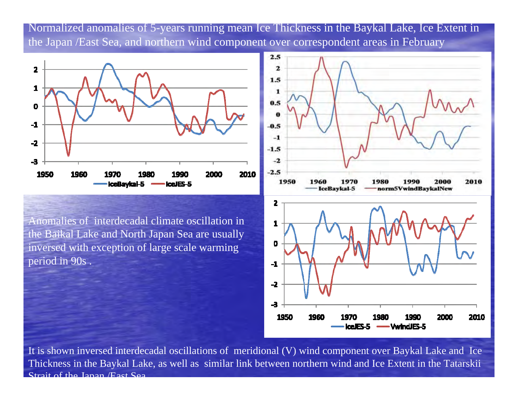Normalized anomalies of 5-years running mean Ice Thickness in the Baykal Lake, Ice Extent in the Japan /East Sea, and northern wind component over correspondent areas in February



Anomalies of interdecadal climate oscillation in the Baikal Lake and North Japan Sea are usually inversed with exception of large scale warming period in 90s .



It is shown inversed interdecadal oscillations of meridional (V) wind component over Baykal Lake and Ice Thickness in the Baykal Lake, as well as similar link between northern wind and Ice Extent in the Tatarskii Strait of the Japan /East Sea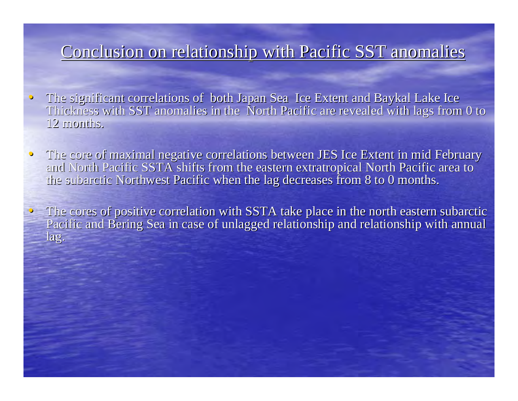#### Conclusion on relationship with Pacific SST anomalies

- $\bigcirc$ The significant correlations of both Japan Sea Ice Extent and Baykal Lake Ice Thickness with SST anomalies in the North Pacific are revealed with lags from 0 to 12 months.
- $\bigcirc$ The core of maximal negative correlations between JES Ice Extent in mid February and North Pacific SSTA shifts from the eastern extratropical North Pacific area to the subarctic Northwest Pacific when the lag decreases from 8 to 0 months.
- $\bullet$  The cores of positive correlation with SSTA take place in the north eastern subarctic Pacific and Bering Sea in case of unlagged relationship and relationship with annual lag.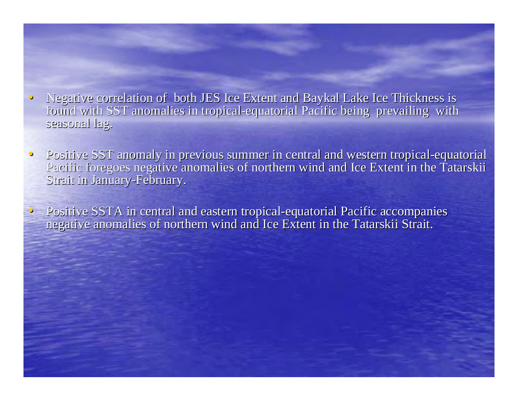- $\bigcirc$ • Negative correlation of both JES Ice Extent and Baykal Lake Ice Thickness is found with SST anomalies in tropical-equatorial Pacific being prevailing with seasonal lag.
- $\bigcirc$ Positive SST anomaly in previous summer in central and western tropical-equatorial Pacific foregoes negative anomalies of northern wind and Ice Extent in the Tatarskii Strait in January-February.
- Positive SSTA in central and eastern tropical-equatorial Pacific accompanies negative anomalies of northern wind and Ice Extent in the Tatarskii Strait.

 $\bigcirc$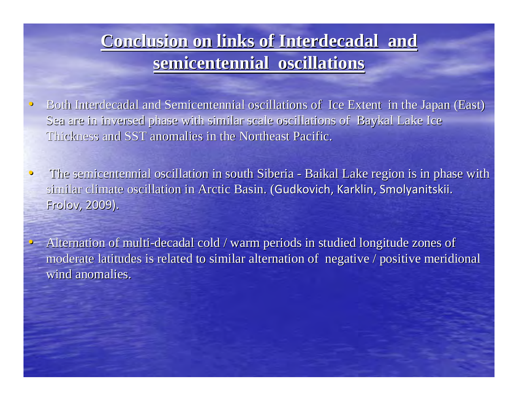## **Conclusion on links of Interdecadal and Conclusion on links of Interdecadal and semicentennial oscillations semicentennial oscillations**

 $\hspace{.1cm} \circ \hspace{.1cm}$ **Both Interdecadal and Semicentennial oscillations of Ice Extent in the Japan (East)** in the Japan (East) Sea are in inversed phase with similar scale oscillations of Baykal Lake Ice Thickness and SST anomalies in the Northeast Pacific.

• The semicentennial oscillation in south Siberia -- Baikal Lake region is in phase with similar climate oscillation in Arctic Basin. (Gudkovich, Karklin, Smolyanitskii. Frolov, Frolov, 2009).

 $\bigcirc$ 

• Alternation of multi-decadal cold / warm periods in studied longitude zones of moderate latitudes is related to similar alternation of negative / positive meridional wind anomalies.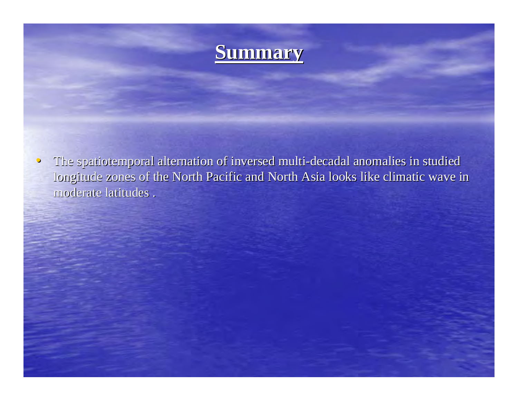

 $\bullet$ The spatiotemporal alternation of inversed multi-decadal anomalies in studied longitude zones of the North Pacific and North Asia looks like climatic wave in moderate latitudes .